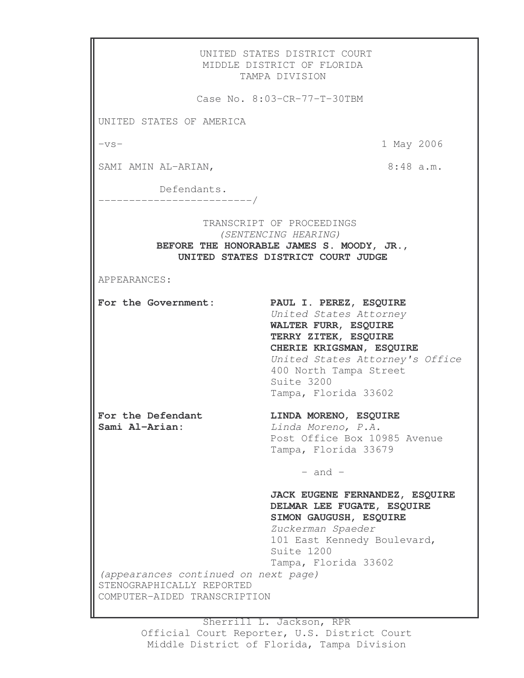UNITED STATES DISTRICT COURT MIDDLE DISTRICT OF FLORIDA TAMPA DIVISION Case No. 8:03-CR-77-T-30TBM UNITED STATES OF AMERICA -vs- 1 May 2006 SAMI AMIN AL-ARIAN,  $8:48$  a.m. Defendants. -------------------------/ TRANSCRIPT OF PROCEEDINGS *(SENTENCING HEARING)* **BEFORE THE HONORABLE JAMES S. MOODY, JR., UNITED STATES DISTRICT COURT JUDGE** APPEARANCES: **For the Government: PAUL I. PEREZ, ESQUIRE** *United States Attorney* **WALTER FURR, ESQUIRE TERRY ZITEK, ESQUIRE CHERIE KRIGSMAN, ESQUIRE** *United States Attorney's Office* 400 North Tampa Street Suite 3200 Tampa, Florida 33602 **For the Defendant LINDA MORENO, ESQUIRE Sami Al-Arian:** *Linda Moreno, P.A.* Post Office Box 10985 Avenue Tampa, Florida 33679  $-$  and  $-$ **JACK EUGENE FERNANDEZ, ESQUIRE DELMAR LEE FUGATE, ESQUIRE SIMON GAUGUSH, ESQUIRE** *Zuckerman Spaeder* 101 East Kennedy Boulevard, Suite 1200 Tampa, Florida 33602 *(appearances continued on next page)* STENOGRAPHICALLY REPORTED COMPUTER-AIDED TRANSCRIPTION

> Sherrill L. Jackson, RPR Official Court Reporter, U.S. District Court Middle District of Florida, Tampa Division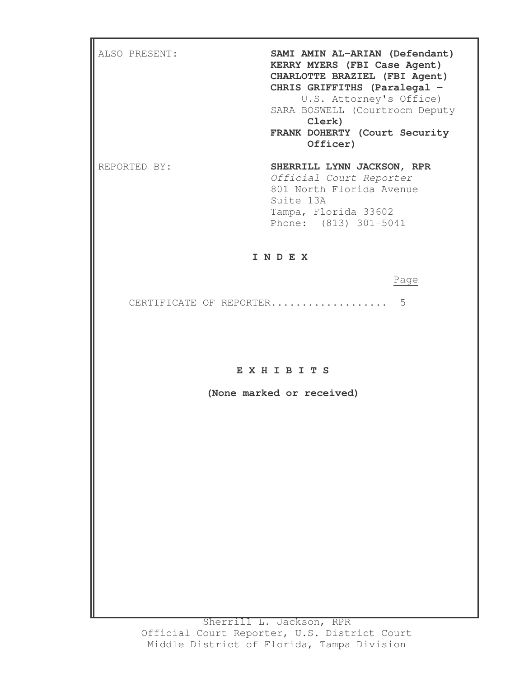| ALSO PRESENT: | SAMI AMIN AL-ARIAN (Defendant)<br>KERRY MYERS (FBI Case Agent)<br>CHARLOTTE BRAZIEL (FBI Agent)<br>CHRIS GRIFFITHS (Paralegal -<br>U.S. Attorney's Office)<br>SARA BOSWELL (Courtroom Deputy<br>Clerk)<br>FRANK DOHERTY (Court Security<br>Officer) |
|---------------|-----------------------------------------------------------------------------------------------------------------------------------------------------------------------------------------------------------------------------------------------------|
| REPORTED BY:  | SHERRILL LYNN JACKSON, RPR<br>Official Court Reporter<br>801 North Florida Avenue<br>Suite 13A<br>Tampa, Florida 33602<br>Phone: (813) 301-5041                                                                                                     |

## **I N D E X**

## Page

CERTIFICATE OF REPORTER................... 5

## **E X H I B I T S**

**(None marked or received)**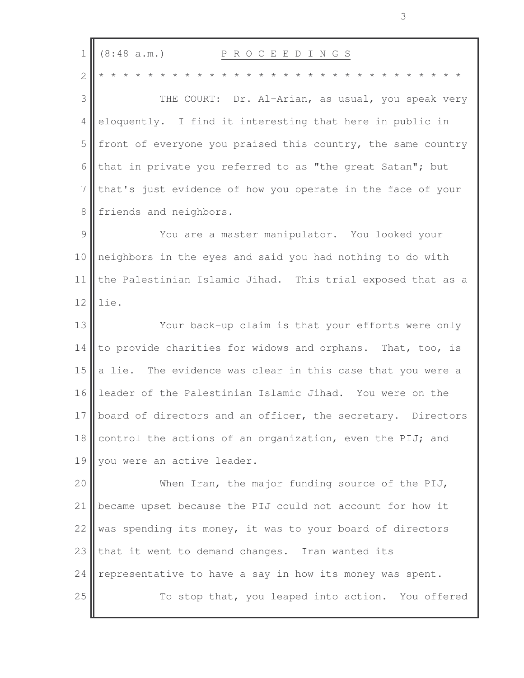| $\mathbf 1$    | (8:48 a.m.)<br>P R O C E E D I N G S                         |
|----------------|--------------------------------------------------------------|
| $\overline{2}$ |                                                              |
| 3              | THE COURT: Dr. Al-Arian, as usual, you speak very            |
| 4              | eloquently. I find it interesting that here in public in     |
| 5              | front of everyone you praised this country, the same country |
| 6              | that in private you referred to as "the great Satan"; but    |
| 7              | that's just evidence of how you operate in the face of your  |
| 8              | friends and neighbors.                                       |
| 9              | You are a master manipulator. You looked your                |
| 10             | neighbors in the eyes and said you had nothing to do with    |
| 11             | the Palestinian Islamic Jihad. This trial exposed that as a  |
| 12             | lie.                                                         |
| 13             | Your back-up claim is that your efforts were only            |
| 14             | to provide charities for widows and orphans. That, too, is   |
| 15             | a lie. The evidence was clear in this case that you were a   |
| 16             | leader of the Palestinian Islamic Jihad. You were on the     |
| 17             | board of directors and an officer, the secretary. Directors  |
| 18             | control the actions of an organization, even the PIJ; and    |
| 19             | you were an active leader.                                   |
| 20             | When Iran, the major funding source of the PIJ,              |
| 21             | became upset because the PIJ could not account for how it    |
| 22             | was spending its money, it was to your board of directors    |
| 23             | that it went to demand changes. Iran wanted its              |
| 24             | representative to have a say in how its money was spent.     |
| 25             | To stop that, you leaped into action. You offered            |
|                |                                                              |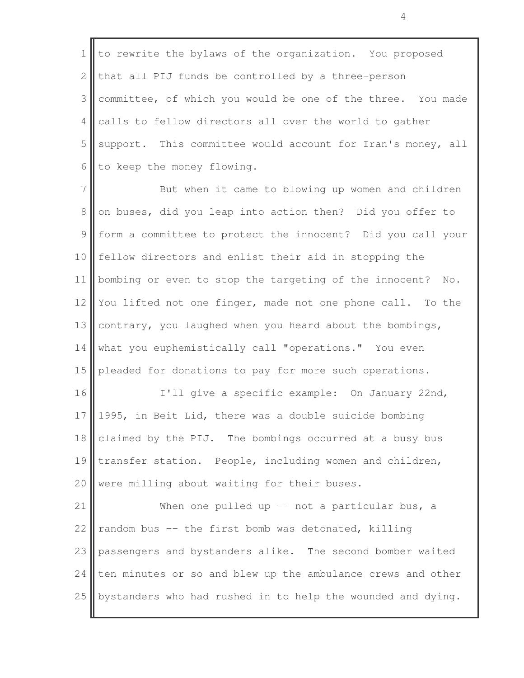1 to rewrite the bylaws of the organization. You proposed 2 that all PIJ funds be controlled by a three-person 3 committee, of which you would be one of the three. You made  $4$  calls to fellow directors all over the world to gather 5 support. This committee would account for Iran's money, all 6 to keep the money flowing.

7 But when it came to blowing up women and children 8 on buses, did you leap into action then? Did you offer to 9 form a committee to protect the innocent? Did you call your 10 fellow directors and enlist their aid in stopping the 11 bombing or even to stop the targeting of the innocent? No. 12 You lifted not one finger, made not one phone call. To the 13 contrary, you laughed when you heard about the bombings, 14 what you euphemistically call "operations." You even 15 pleaded for donations to pay for more such operations.

16 || I'll give a specific example: On January 22nd, 17 1995, in Beit Lid, there was a double suicide bombing 18 claimed by the PIJ. The bombings occurred at a busy bus 19 transfer station. People, including women and children,  $20$  were milling about waiting for their buses.

21 When one pulled up -- not a particular bus, a 22 random bus  $-$  the first bomb was detonated, killing 23 passengers and bystanders alike. The second bomber waited 24  $\parallel$  ten minutes or so and blew up the ambulance crews and other  $25$  bystanders who had rushed in to help the wounded and dying.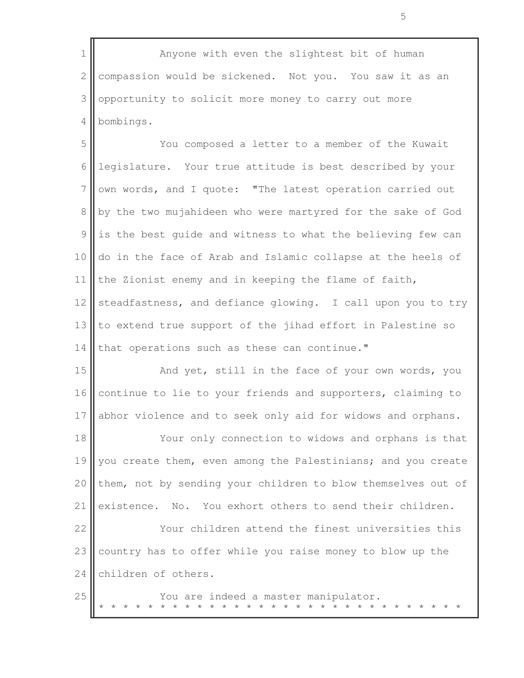1 || Anyone with even the slightest bit of human  $2 \parallel$  compassion would be sickened. Not you. You saw it as an 3 opportunity to solicit more money to carry out more 4 bombings.

5 You composed a letter to a member of the Kuwait 6 legislature. Your true attitude is best described by your  $7$  own words, and I quote: "The latest operation carried out 8 by the two mujahideen who were martyred for the sake of God  $9$  is the best guide and witness to what the believing few can 10 do in the face of Arab and Islamic collapse at the heels of 11 the Zionist enemy and in keeping the flame of faith, 12 steadfastness, and defiance glowing. I call upon you to try 13  $\parallel$  to extend true support of the jihad effort in Palestine so 14 that operations such as these can continue."

15 || And yet, still in the face of your own words, you 16 continue to lie to your friends and supporters, claiming to 17 abhor violence and to seek only aid for widows and orphans.

18 Your only connection to widows and orphans is that 19 you create them, even among the Palestinians; and you create 20  $\parallel$  them, not by sending your children to blow themselves out of 21 existence. No. You exhort others to send their children. 22  $\parallel$  Your children attend the finest universities this 23 country has to offer while you raise money to blow up the  $24$  children of others.

25 | You are indeed a master manipulator. \* \* \* \* \* \* \* \* \* \* \* \* \* \* \* \* \* \* \* \* \* \* \* \* \* \* \* \* \* \*